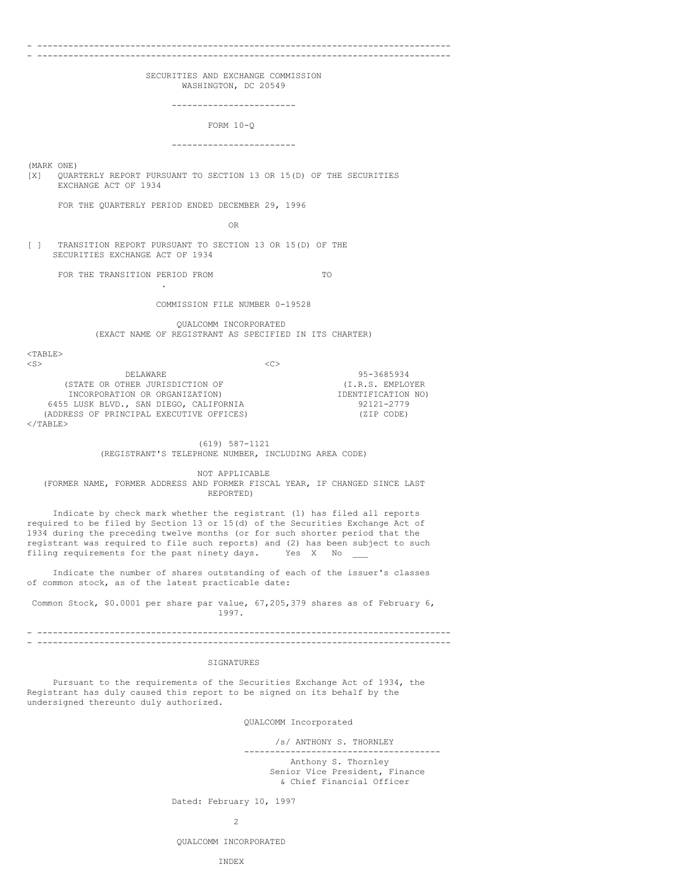#### - --------------------------------------------------------------------------------

- --------------------------------------------------------------------------------

SECURITIES AND EXCHANGE COMMISSION WASHINGTON, DC 20549

------------------------

FORM 10-Q

------------------------

(MARK ONE) [X] QUARTERLY REPORT PURSUANT TO SECTION 13 OR 15(D) OF THE SECURITIES EXCHANGE ACT OF 1934

FOR THE QUARTERLY PERIOD ENDED DECEMBER 29, 1996

OR

[ ] TRANSITION REPORT PURSUANT TO SECTION 13 OR 15(D) OF THE SECURITIES EXCHANGE ACT OF 1934

FOR THE TRANSITION PERIOD FROM TO

.

COMMISSION FILE NUMBER 0-19528

QUALCOMM INCORPORATED (EXACT NAME OF REGISTRANT AS SPECIFIED IN ITS CHARTER)

 $<$ TABLE>

| $\langle S \rangle$                      |                    |
|------------------------------------------|--------------------|
| DELAWARE                                 | 95-3685934         |
| (STATE OR OTHER JURISDICTION OF          | (I.R.S. EMPLOYER   |
| INCORPORATION OR ORGANIZATION)           | IDENTIFICATION NO) |
| 6455 LUSK BLVD., SAN DIEGO, CALIFORNIA   | 92121-2779         |
| (ADDRESS OF PRINCIPAL EXECUTIVE OFFICES) | (ZIP CODE)         |
| $\langle$ /TABLE>                        |                    |

## (619) 587-1121 (REGISTRANT'S TELEPHONE NUMBER, INCLUDING AREA CODE)

NOT APPLICABLE (FORMER NAME, FORMER ADDRESS AND FORMER FISCAL YEAR, IF CHANGED SINCE LAST REPORTED)

Indicate by check mark whether the registrant (1) has filed all reports required to be filed by Section 13 or 15(d) of the Securities Exchange Act of 1934 during the preceding twelve months (or for such shorter period that the registrant was required to file such reports) and (2) has been subject to such filing requirements for the past ninety days. Yes X No

Indicate the number of shares outstanding of each of the issuer's classes of common stock, as of the latest practicable date:

Common Stock, \$0.0001 per share par value, 67,205,379 shares as of February 6, 1997.

- -------------------------------------------------------------------------------- - --------------------------------------------------------------------------------

## SIGNATURES

Pursuant to the requirements of the Securities Exchange Act of 1934, the Registrant has duly caused this report to be signed on its behalf by the undersigned thereunto duly authorized.

QUALCOMM Incorporated

/s/ ANTHONY S. THORNLEY

-------------------------------------- Anthony S. Thornley Senior Vice President, Finance & Chief Financial Officer

Dated: February 10, 1997

2

#### INDEX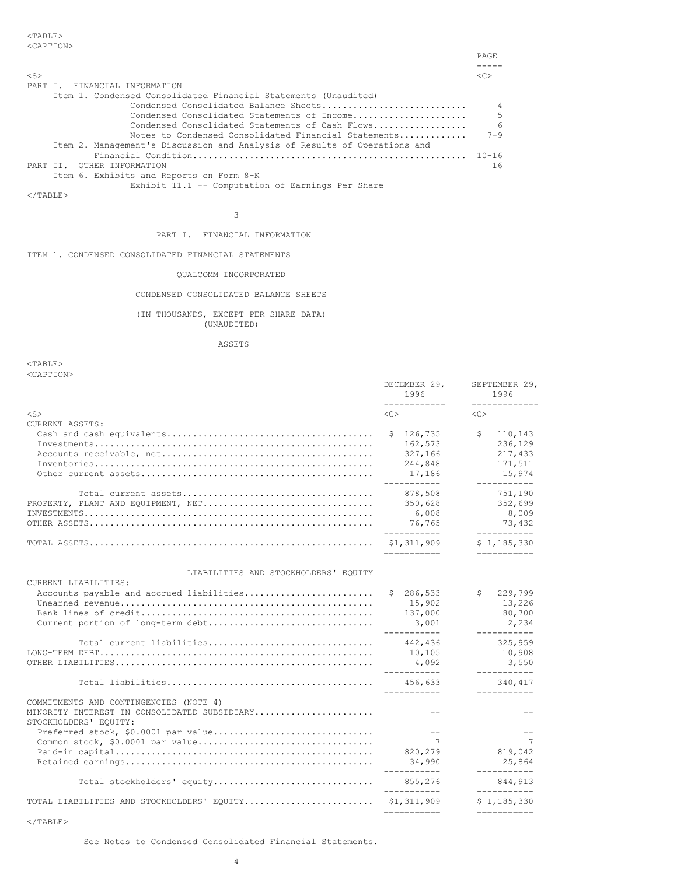|           |                                                                           | <b>PAGE</b> |
|-----------|---------------------------------------------------------------------------|-------------|
| $<$ S $>$ |                                                                           |             |
| PART I.   | FINANCIAL INFORMATION                                                     |             |
|           | Item 1. Condensed Consolidated Financial Statements (Unaudited)           |             |
|           | Condensed Consolidated Balance Sheets                                     | $\Delta$    |
|           | Condensed Consolidated Statements of Income                               | .5          |
|           | Condensed Consolidated Statements of Cash Flows                           | $\epsilon$  |
|           | Notes to Condensed Consolidated Financial Statements                      | $7 - 9$     |
|           | Item 2. Management's Discussion and Analysis of Results of Operations and |             |
|           | Financial Condition                                                       | $10 - 16$   |
| PART TT.  | OTHER INFORMATION                                                         | 16          |
|           | Item 6. Exhibits and Reports on Form 8-K                                  |             |
|           | Exhibit 11.1 -- Computation of Earnings Per Share                         |             |

 $<$ /TABLE>

# PART I. FINANCIAL INFORMATION

3

ITEM 1. CONDENSED CONSOLIDATED FINANCIAL STATEMENTS

# QUALCOMM INCORPORATED

CONDENSED CONSOLIDATED BALANCE SHEETS

# (IN THOUSANDS, EXCEPT PER SHARE DATA) (UNAUDITED)

ASSETS

 $<$ TABLE $>$ <CAPTION>

|                                                                       | DECEMBER 29,<br>1996                | SEPTEMBER 29,<br>1996<br>_____________ |
|-----------------------------------------------------------------------|-------------------------------------|----------------------------------------|
| $<$ S $>$                                                             | ------------<br>$\langle C \rangle$ | $<<$ $>>$                              |
| CURRENT ASSETS:                                                       |                                     |                                        |
|                                                                       | \$126, 735                          | \$<br>110,143                          |
|                                                                       | 162,573                             | 236,129                                |
|                                                                       | 327,166                             | 217,433                                |
|                                                                       | 244,848                             | 171,511                                |
|                                                                       | 17,186                              | 15,974                                 |
|                                                                       | ___________<br>878,508              | ___________<br>751,190                 |
| PROPERTY, PLANT AND EQUIPMENT, NET                                    | 350,628                             | 352,699                                |
|                                                                       | 6,008                               | 8,009                                  |
|                                                                       | 76,765                              | 73,432                                 |
|                                                                       | ___________<br>\$1,311,909          | ___________<br>\$1,185,330             |
|                                                                       | ===========                         | ===========                            |
| LIABILITIES AND STOCKHOLDERS' EQUITY                                  |                                     |                                        |
| CURRENT LIABILITIES:                                                  |                                     |                                        |
| Accounts payable and accrued liabilities                              | \$286,533                           | \$229,799                              |
|                                                                       | 15,902                              | 13,226                                 |
|                                                                       | 137,000                             | 80,700                                 |
| Current portion of long-term debt                                     | 3,001                               | 2,234<br>-----------                   |
| Total current liabilities                                             | 442,436                             | 325,959                                |
|                                                                       | 10,105                              | 10,908                                 |
|                                                                       | 4,092<br>___________                | 3,550<br>-----------                   |
|                                                                       | 456.633                             | 340,417                                |
|                                                                       | -----------                         | ___________                            |
| COMMITMENTS AND CONTINGENCIES (NOTE 4)                                |                                     |                                        |
| MINORITY INTEREST IN CONSOLIDATED SUBSIDIARY<br>STOCKHOLDERS' EQUITY: | $\qquad \qquad -$                   |                                        |
| Preferred stock, \$0.0001 par value                                   | <b>Service State</b>                | $ -$                                   |
|                                                                       | $\overline{7}$                      | $\overline{7}$                         |
|                                                                       | 820,279                             | 819,042                                |
|                                                                       | 34,990                              | 25,864                                 |
|                                                                       | -----------                         | -----------                            |
| Total stockholders' equity                                            | 855,276<br>___________              | 844.913<br>-----------                 |
| TOTAL LIABILITIES AND STOCKHOLDERS' EQUITY                            | \$1,311,909                         | \$1,185,330                            |
|                                                                       | ===========                         | ===========                            |

 $\rm <$  /TABLE>

See Notes to Condensed Consolidated Financial Statements.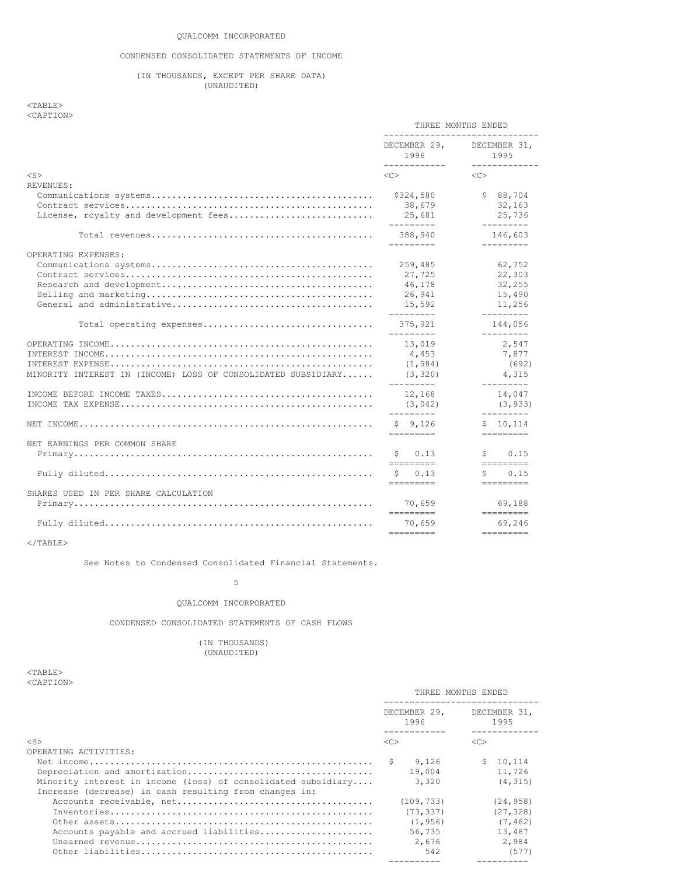# CONDENSED CONSOLIDATED STATEMENTS OF INCOME

# (IN THOUSANDS, EXCEPT PER SHARE DATA) (UNAUDITED)

# <TABLE> <CAPTION>

|                                                               | THREE MONTHS ENDED<br>------------------------------                                                                                                                                                                                                                                                                                                                                                                                                                                                  |                                                             |
|---------------------------------------------------------------|-------------------------------------------------------------------------------------------------------------------------------------------------------------------------------------------------------------------------------------------------------------------------------------------------------------------------------------------------------------------------------------------------------------------------------------------------------------------------------------------------------|-------------------------------------------------------------|
|                                                               | 1996<br>------------                                                                                                                                                                                                                                                                                                                                                                                                                                                                                  | DECEMBER 29, DECEMBER 31,<br>1995<br>-------------          |
| $<$ S $>$                                                     | $<<$ $>>$                                                                                                                                                                                                                                                                                                                                                                                                                                                                                             | < <sub></sub>                                               |
| REVENUES:<br>License, royalty and development fees            | \$324,580<br>38,679<br>25,681<br>----------                                                                                                                                                                                                                                                                                                                                                                                                                                                           | \$88,704<br>32,163<br>25,736<br>---------                   |
|                                                               | 388,940<br>_________                                                                                                                                                                                                                                                                                                                                                                                                                                                                                  | 146,603<br>---------                                        |
| OPERATING EXPENSES:                                           | 259,485<br>27,725<br>46,178<br>26,941<br>15,592<br>---------                                                                                                                                                                                                                                                                                                                                                                                                                                          | 62,752<br>22,303<br>32,255<br>15,490<br>11,256<br>--------- |
|                                                               | 375,921<br>$- - - - - - - - -$                                                                                                                                                                                                                                                                                                                                                                                                                                                                        | 144.056<br>---------                                        |
| MINORITY INTEREST IN (INCOME) LOSS OF CONSOLIDATED SUBSIDIARY | 13,019<br>4,453<br>(1, 984)<br>(3, 320)                                                                                                                                                                                                                                                                                                                                                                                                                                                               | 2,547<br>7,877<br>(692)<br>4,315                            |
|                                                               | ---------<br>12,168<br>(3, 042)<br>_________                                                                                                                                                                                                                                                                                                                                                                                                                                                          | ---------<br>14,047<br>(3, 933)<br>---------                |
|                                                               | \$9,126<br>=========                                                                                                                                                                                                                                                                                                                                                                                                                                                                                  | \$10,114<br>=========                                       |
| NET EARNINGS PER COMMON SHARE                                 | Ŝ.<br>0.13<br>=========                                                                                                                                                                                                                                                                                                                                                                                                                                                                               | \$<br>0.15<br>=========                                     |
|                                                               | S<br>0.13<br>$\begin{array}{cccccc} \multicolumn{2}{c}{{\color{red}a}} & \multicolumn{2}{c}{{\color{blue}b}} & \multicolumn{2}{c}{{\color{blue}c}} & \multicolumn{2}{c}{{\color{blue}c}} & \multicolumn{2}{c}{{\color{blue}c}} & \multicolumn{2}{c}{{\color{blue}c}} & \multicolumn{2}{c}{{\color{blue}c}} & \multicolumn{2}{c}{{\color{blue}c}} & \multicolumn{2}{c}{{\color{blue}c}} & \multicolumn{2}{c}{{\color{blue}c}} & \multicolumn{2}{c}{{\color{blue}c}} & \multicolumn{2}{c}{{\color{blue$ | 0.15<br>S.                                                  |
| SHARES USED IN PER SHARE CALCULATION                          | 70,659                                                                                                                                                                                                                                                                                                                                                                                                                                                                                                | =========<br>69,188                                         |
|                                                               | =========<br>70,659                                                                                                                                                                                                                                                                                                                                                                                                                                                                                   | =========<br>69,246                                         |
|                                                               | =========                                                                                                                                                                                                                                                                                                                                                                                                                                                                                             | =========                                                   |

# $<$ /TABLE>

See Notes to Condensed Consolidated Financial Statements.

# 5

# QUALCOMM INCORPORATED

CONDENSED CONSOLIDATED STATEMENTS OF CASH FLOWS

# (IN THOUSANDS) (UNAUDITED)

## $<$ TABLE> <CAPTION>

|                                                               | THREE MONTHS ENDED |                      |                     |                      |
|---------------------------------------------------------------|--------------------|----------------------|---------------------|----------------------|
|                                                               |                    | DECEMBER 29,<br>1996 |                     | DECEMBER 31,<br>1995 |
| $<$ S $>$                                                     | < <sub></sub>      |                      | $\langle C \rangle$ |                      |
| OPERATING ACTIVITIES:                                         |                    |                      |                     |                      |
|                                                               |                    | 9.126                |                     | \$10.114             |
|                                                               |                    | 19,004               |                     | 11,726               |
| Minority interest in income (loss) of consolidated subsidiary |                    | 3,320                |                     | (4, 315)             |
| Increase (decrease) in cash resulting from changes in:        |                    |                      |                     |                      |
|                                                               |                    | (109, 733)           |                     | (24, 958)            |
|                                                               |                    | (73, 337)            |                     | (27, 328)            |
|                                                               |                    | (1, 956)             |                     | (7, 462)             |
| Accounts payable and accrued liabilities                      |                    | 56.735               |                     | 13,467               |
|                                                               |                    | 2,676                |                     | 2,984                |
|                                                               |                    | 542                  |                     | (577)                |
|                                                               |                    |                      |                     |                      |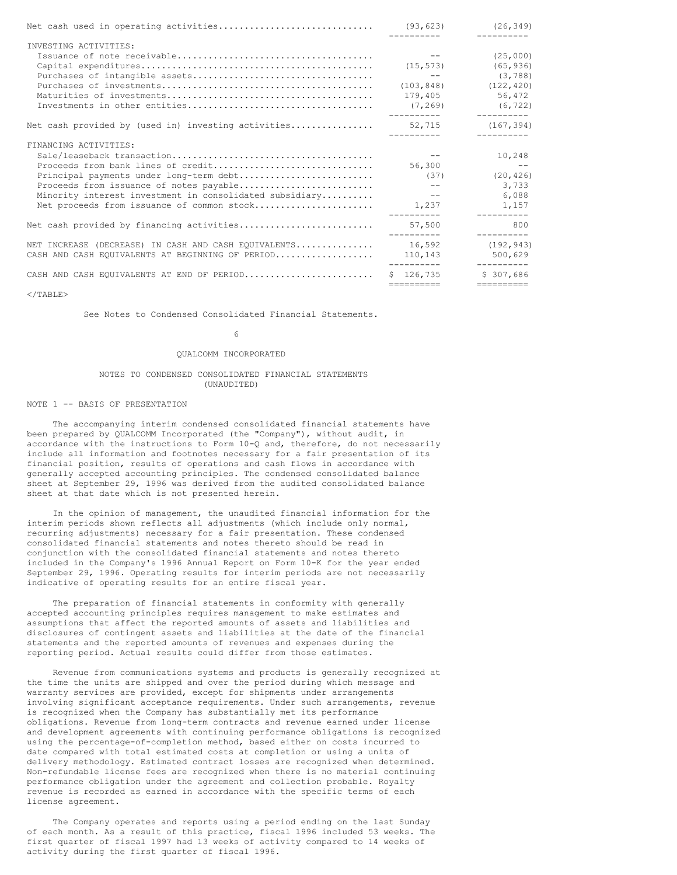| INVESTING ACTIVITIES:                                   |                      |                                   |
|---------------------------------------------------------|----------------------|-----------------------------------|
|                                                         | $\sim$ $ -$          | (25,000)                          |
|                                                         | (15, 573)            | (65, 936)                         |
|                                                         | and the state of the | (3, 788)                          |
|                                                         | (103, 848)           | (122, 420)                        |
|                                                         | 179,405              | 56,472                            |
|                                                         |                      | $(7, 269)$ (6,722)<br>----------- |
| Net cash provided by (used in) investing activities     | 52,715               | (167, 394)<br>----------          |
| FINANCING ACTIVITIES:                                   |                      |                                   |
|                                                         | $\sim$ $-$           | 10,248                            |
| Proceeds from bank lines of credit                      | 56,300               | $ -$                              |
| Principal payments under long-term debt                 | (37)                 | (20, 426)                         |
| Proceeds from issuance of notes payable                 | $\sim$ $-$           | 3,733                             |
| Minority interest investment in consolidated subsidiary | $\sim$ $-$           | 6,088                             |
| Net proceeds from issuance of common stock              | 1,237                | 1,157<br>-----------              |
| Net cash provided by financing activities               | 57,500<br>---------- | 800<br>----------                 |
| NET INCREASE (DECREASE) IN CASH AND CASH EQUIVALENTS    | 16,592               | (192, 943)                        |
| CASH AND CASH EQUIVALENTS AT BEGINNING OF PERIOD        | 110,143              | 500,629                           |
| CASH AND CASH EQUIVALENTS AT END OF PERIOD              | $S = 126.735$        | __________<br>\$307.686           |
|                                                         | ==========           | ==========                        |

 $<$ /TABLE>

See Notes to Condensed Consolidated Financial Statements.

6

#### QUALCOMM INCORPORATED

#### NOTES TO CONDENSED CONSOLIDATED FINANCIAL STATEMENTS (UNAUDITED)

#### NOTE 1 -- BASIS OF PRESENTATION

The accompanying interim condensed consolidated financial statements have been prepared by QUALCOMM Incorporated (the "Company"), without audit, in accordance with the instructions to Form 10-Q and, therefore, do not necessarily include all information and footnotes necessary for a fair presentation of its financial position, results of operations and cash flows in accordance with generally accepted accounting principles. The condensed consolidated balance sheet at September 29, 1996 was derived from the audited consolidated balance sheet at that date which is not presented herein.

In the opinion of management, the unaudited financial information for the interim periods shown reflects all adjustments (which include only normal, recurring adjustments) necessary for a fair presentation. These condensed consolidated financial statements and notes thereto should be read in conjunction with the consolidated financial statements and notes thereto included in the Company's 1996 Annual Report on Form 10-K for the year ended September 29, 1996. Operating results for interim periods are not necessarily indicative of operating results for an entire fiscal year.

The preparation of financial statements in conformity with generally accepted accounting principles requires management to make estimates and assumptions that affect the reported amounts of assets and liabilities and disclosures of contingent assets and liabilities at the date of the financial statements and the reported amounts of revenues and expenses during the reporting period. Actual results could differ from those estimates.

Revenue from communications systems and products is generally recognized at the time the units are shipped and over the period during which message and warranty services are provided, except for shipments under arrangements involving significant acceptance requirements. Under such arrangements, revenue is recognized when the Company has substantially met its performance obligations. Revenue from long-term contracts and revenue earned under license and development agreements with continuing performance obligations is recognized using the percentage-of-completion method, based either on costs incurred to date compared with total estimated costs at completion or using a units of delivery methodology. Estimated contract losses are recognized when determined. Non-refundable license fees are recognized when there is no material continuing performance obligation under the agreement and collection probable. Royalty revenue is recorded as earned in accordance with the specific terms of each license agreement.

The Company operates and reports using a period ending on the last Sunday of each month. As a result of this practice, fiscal 1996 included 53 weeks. The first quarter of fiscal 1997 had 13 weeks of activity compared to 14 weeks of activity during the first quarter of fiscal 1996.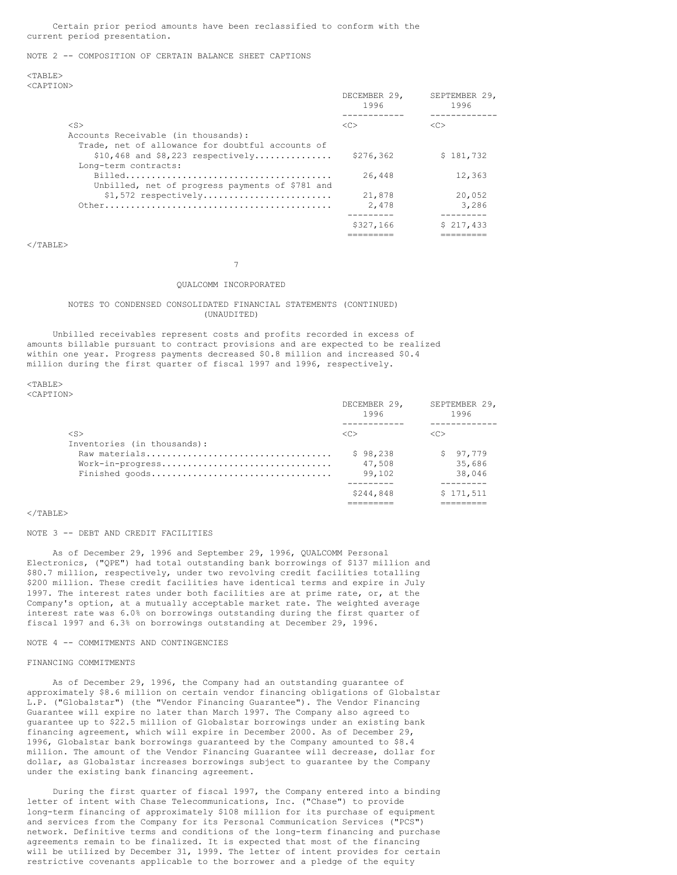Certain prior period amounts have been reclassified to conform with the current period presentation.

## NOTE 2 -- COMPOSITION OF CERTAIN BALANCE SHEET CAPTIONS

<TABLE> <CAPTION>

|                                                  | DECEMBER 29,<br>1996 | SEPTEMBER 29,<br>1996 |
|--------------------------------------------------|----------------------|-----------------------|
|                                                  |                      | --------              |
| $<$ S $>$                                        | < <sub></sub>        | <<                    |
| Accounts Receivable (in thousands):              |                      |                       |
| Trade, net of allowance for doubtful accounts of |                      |                       |
| $$10,468$ and $$8,223$ respectively              | \$276,362            | \$181.732             |
| Long-term contracts:                             |                      |                       |
|                                                  | 26,448               | 12,363                |
| Unbilled, net of progress payments of \$781 and  |                      |                       |
| $$1,572$ respectively                            | 21,878               | 20,052                |
|                                                  | 2,478                | 3,286                 |
|                                                  |                      | --------              |
|                                                  | \$327,166            | \$217.433             |
|                                                  |                      |                       |

</TABLE>

7

#### QUALCOMM INCORPORATED

#### NOTES TO CONDENSED CONSOLIDATED FINANCIAL STATEMENTS (CONTINUED) (UNAUDITED)

Unbilled receivables represent costs and profits recorded in excess of amounts billable pursuant to contract provisions and are expected to be realized within one year. Progress payments decreased \$0.8 million and increased \$0.4 million during the first quarter of fiscal 1997 and 1996, respectively.

 $<$ TABLE> <CAPTION>

|                             | DECEMBER 29,<br>1996 | SEPTEMBER 29,<br>1996 |  |
|-----------------------------|----------------------|-----------------------|--|
| $\langle S \rangle$         | $\langle C \rangle$  | $\langle C \rangle$   |  |
| Inventories (in thousands): |                      |                       |  |
|                             | \$98,238             | \$97,779              |  |
| Work-in-progress            | 47,508               | 35,686                |  |
| Finished qoods              | 99.102               | 38,046                |  |
|                             |                      |                       |  |
|                             | \$244,848            | \$171,511             |  |
|                             |                      |                       |  |

#### $<$ /TABLE>

#### NOTE 3 -- DEBT AND CREDIT FACILITIES

As of December 29, 1996 and September 29, 1996, QUALCOMM Personal Electronics, ("QPE") had total outstanding bank borrowings of \$137 million and \$80.7 million, respectively, under two revolving credit facilities totalling \$200 million. These credit facilities have identical terms and expire in July 1997. The interest rates under both facilities are at prime rate, or, at the Company's option, at a mutually acceptable market rate. The weighted average interest rate was 6.0% on borrowings outstanding during the first quarter of fiscal 1997 and 6.3% on borrowings outstanding at December 29, 1996.

#### NOTE 4 -- COMMITMENTS AND CONTINGENCIES

#### FINANCING COMMITMENTS

As of December 29, 1996, the Company had an outstanding guarantee of approximately \$8.6 million on certain vendor financing obligations of Globalstar L.P. ("Globalstar") (the "Vendor Financing Guarantee"). The Vendor Financing Guarantee will expire no later than March 1997. The Company also agreed to guarantee up to \$22.5 million of Globalstar borrowings under an existing bank financing agreement, which will expire in December 2000. As of December 29, 1996, Globalstar bank borrowings guaranteed by the Company amounted to \$8.4 million. The amount of the Vendor Financing Guarantee will decrease, dollar for dollar, as Globalstar increases borrowings subject to guarantee by the Company under the existing bank financing agreement.

During the first quarter of fiscal 1997, the Company entered into a binding letter of intent with Chase Telecommunications, Inc. ("Chase") to provide long-term financing of approximately \$108 million for its purchase of equipment and services from the Company for its Personal Communication Services ("PCS") network. Definitive terms and conditions of the long-term financing and purchase agreements remain to be finalized. It is expected that most of the financing will be utilized by December 31, 1999. The letter of intent provides for certain restrictive covenants applicable to the borrower and a pledge of the equity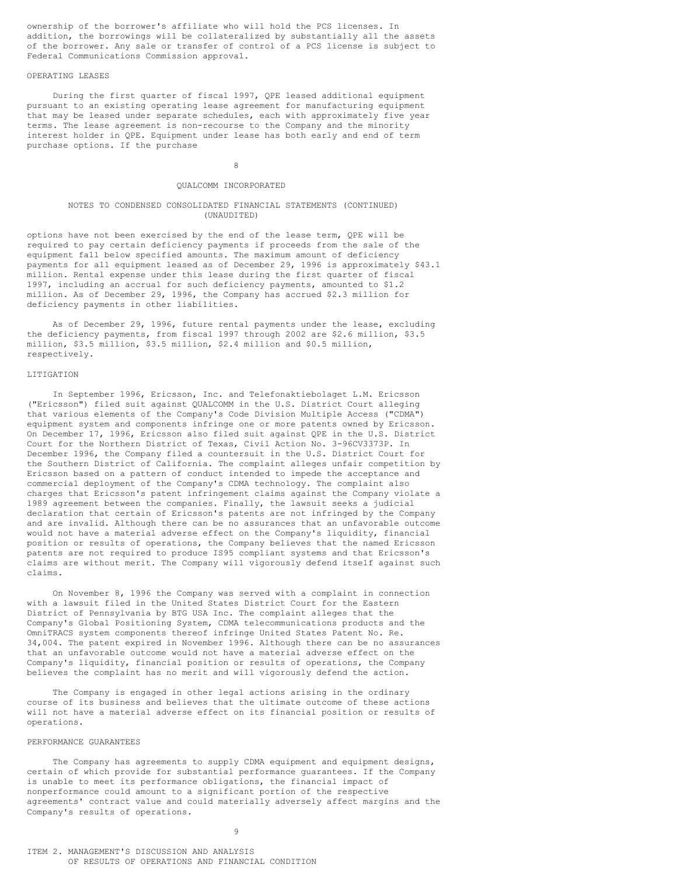ownership of the borrower's affiliate who will hold the PCS licenses. In addition, the borrowings will be collateralized by substantially all the assets of the borrower. Any sale or transfer of control of a PCS license is subject to Federal Communications Commission approval.

## OPERATING LEASES

During the first quarter of fiscal 1997, QPE leased additional equipment pursuant to an existing operating lease agreement for manufacturing equipment that may be leased under separate schedules, each with approximately five year terms. The lease agreement is non-recourse to the Company and the minority interest holder in QPE. Equipment under lease has both early and end of term purchase options. If the purchase

8

#### QUALCOMM INCORPORATED

## NOTES TO CONDENSED CONSOLIDATED FINANCIAL STATEMENTS (CONTINUED) (UNAUDITED)

options have not been exercised by the end of the lease term, QPE will be required to pay certain deficiency payments if proceeds from the sale of the equipment fall below specified amounts. The maximum amount of deficiency payments for all equipment leased as of December 29, 1996 is approximately \$43.1 million. Rental expense under this lease during the first quarter of fiscal 1997, including an accrual for such deficiency payments, amounted to \$1.2 million. As of December 29, 1996, the Company has accrued \$2.3 million for deficiency payments in other liabilities.

As of December 29, 1996, future rental payments under the lease, excluding the deficiency payments, from fiscal 1997 through 2002 are \$2.6 million, \$3.5 million, \$3.5 million, \$3.5 million, \$2.4 million and \$0.5 million, respectively.

#### LITTIGATION

In September 1996, Ericsson, Inc. and Telefonaktiebolaget L.M. Ericsson ("Ericsson") filed suit against QUALCOMM in the U.S. District Court alleging that various elements of the Company's Code Division Multiple Access ("CDMA") equipment system and components infringe one or more patents owned by Ericsson. On December 17, 1996, Ericsson also filed suit against QPE in the U.S. District Court for the Northern District of Texas, Civil Action No. 3-96CV3373P. In December 1996, the Company filed a countersuit in the U.S. District Court for the Southern District of California. The complaint alleges unfair competition by Ericsson based on a pattern of conduct intended to impede the acceptance and commercial deployment of the Company's CDMA technology. The complaint also charges that Ericsson's patent infringement claims against the Company violate a 1989 agreement between the companies. Finally, the lawsuit seeks a judicial declaration that certain of Ericsson's patents are not infringed by the Company and are invalid. Although there can be no assurances that an unfavorable outcome would not have a material adverse effect on the Company's liquidity, financial position or results of operations, the Company believes that the named Ericsson patents are not required to produce IS95 compliant systems and that Ericsson's claims are without merit. The Company will vigorously defend itself against such claims.

On November 8, 1996 the Company was served with a complaint in connection with a lawsuit filed in the United States District Court for the Eastern District of Pennsylvania by BTG USA Inc. The complaint alleges that the Company's Global Positioning System, CDMA telecommunications products and the OmniTRACS system components thereof infringe United States Patent No. Re. 34,004. The patent expired in November 1996. Although there can be no assurances that an unfavorable outcome would not have a material adverse effect on the Company's liquidity, financial position or results of operations, the Company believes the complaint has no merit and will vigorously defend the action.

The Company is engaged in other legal actions arising in the ordinary course of its business and believes that the ultimate outcome of these actions will not have a material adverse effect on its financial position or results of operations.

## PERFORMANCE GUARANTEES

The Company has agreements to supply CDMA equipment and equipment designs, certain of which provide for substantial performance guarantees. If the Company is unable to meet its performance obligations, the financial impact of nonperformance could amount to a significant portion of the respective agreements' contract value and could materially adversely affect margins and the Company's results of operations.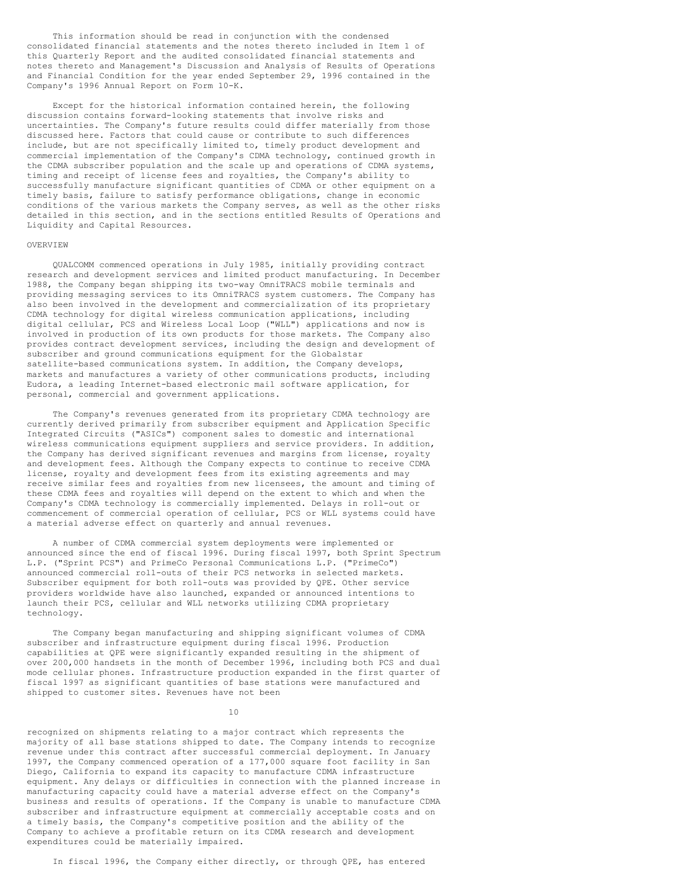This information should be read in conjunction with the condensed consolidated financial statements and the notes thereto included in Item 1 of this Quarterly Report and the audited consolidated financial statements and notes thereto and Management's Discussion and Analysis of Results of Operations and Financial Condition for the year ended September 29, 1996 contained in the Company's 1996 Annual Report on Form 10-K.

Except for the historical information contained herein, the following discussion contains forward-looking statements that involve risks and uncertainties. The Company's future results could differ materially from those discussed here. Factors that could cause or contribute to such differences include, but are not specifically limited to, timely product development and commercial implementation of the Company's CDMA technology, continued growth in the CDMA subscriber population and the scale up and operations of CDMA systems, timing and receipt of license fees and royalties, the Company's ability to successfully manufacture significant quantities of CDMA or other equipment on a timely basis, failure to satisfy performance obligations, change in economic conditions of the various markets the Company serves, as well as the other risks detailed in this section, and in the sections entitled Results of Operations and Liquidity and Capital Resources.

#### OVERVIEW

QUALCOMM commenced operations in July 1985, initially providing contract research and development services and limited product manufacturing. In December 1988, the Company began shipping its two-way OmniTRACS mobile terminals and providing messaging services to its OmniTRACS system customers. The Company has also been involved in the development and commercialization of its proprietary CDMA technology for digital wireless communication applications, including digital cellular, PCS and Wireless Local Loop ("WLL") applications and now is involved in production of its own products for those markets. The Company also provides contract development services, including the design and development of subscriber and ground communications equipment for the Globalstar satellite-based communications system. In addition, the Company develops, markets and manufactures a variety of other communications products, including Eudora, a leading Internet-based electronic mail software application, for personal, commercial and government applications.

The Company's revenues generated from its proprietary CDMA technology are currently derived primarily from subscriber equipment and Application Specific Integrated Circuits ("ASICs") component sales to domestic and international wireless communications equipment suppliers and service providers. In addition, the Company has derived significant revenues and margins from license, royalty and development fees. Although the Company expects to continue to receive CDMA license, royalty and development fees from its existing agreements and may receive similar fees and royalties from new licensees, the amount and timing of these CDMA fees and royalties will depend on the extent to which and when the Company's CDMA technology is commercially implemented. Delays in roll-out or commencement of commercial operation of cellular, PCS or WLL systems could have a material adverse effect on quarterly and annual revenues.

A number of CDMA commercial system deployments were implemented or announced since the end of fiscal 1996. During fiscal 1997, both Sprint Spectrum L.P. ("Sprint PCS") and PrimeCo Personal Communications L.P. ("PrimeCo") announced commercial roll-outs of their PCS networks in selected markets. Subscriber equipment for both roll-outs was provided by QPE. Other service providers worldwide have also launched, expanded or announced intentions to launch their PCS, cellular and WLL networks utilizing CDMA proprietary technology.

The Company began manufacturing and shipping significant volumes of CDMA subscriber and infrastructure equipment during fiscal 1996. Production capabilities at QPE were significantly expanded resulting in the shipment of over 200,000 handsets in the month of December 1996, including both PCS and dual mode cellular phones. Infrastructure production expanded in the first quarter of fiscal 1997 as significant quantities of base stations were manufactured and shipped to customer sites. Revenues have not been

10

recognized on shipments relating to a major contract which represents the majority of all base stations shipped to date. The Company intends to recognize revenue under this contract after successful commercial deployment. In January 1997, the Company commenced operation of a 177,000 square foot facility in San Diego, California to expand its capacity to manufacture CDMA infrastructure equipment. Any delays or difficulties in connection with the planned increase in manufacturing capacity could have a material adverse effect on the Company's business and results of operations. If the Company is unable to manufacture CDMA subscriber and infrastructure equipment at commercially acceptable costs and on a timely basis, the Company's competitive position and the ability of the Company to achieve a profitable return on its CDMA research and development expenditures could be materially impaired.

In fiscal 1996, the Company either directly, or through QPE, has entered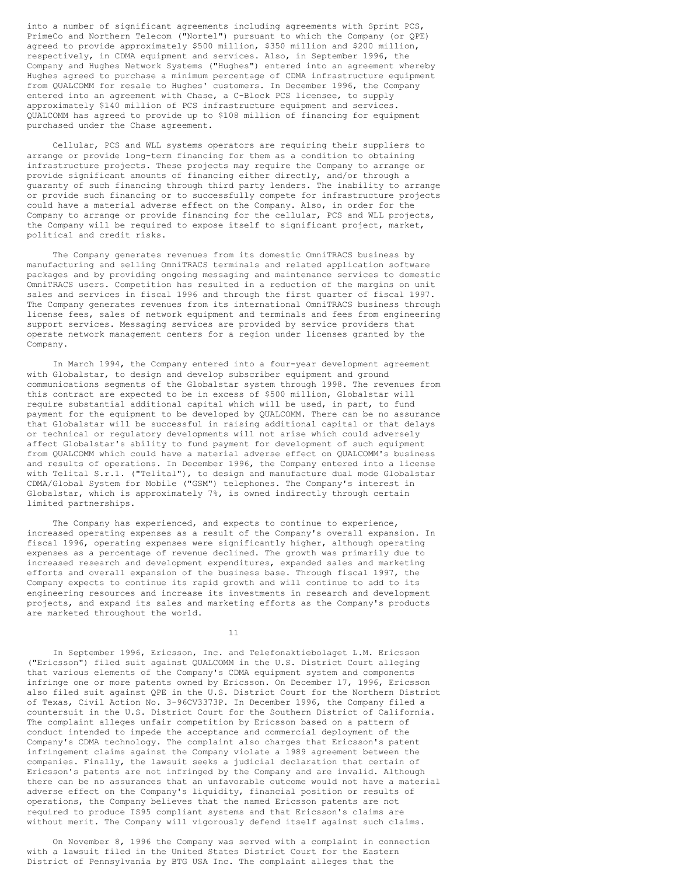into a number of significant agreements including agreements with Sprint PCS, PrimeCo and Northern Telecom ("Nortel") pursuant to which the Company (or QPE) agreed to provide approximately \$500 million, \$350 million and \$200 million, respectively, in CDMA equipment and services. Also, in September 1996, the Company and Hughes Network Systems ("Hughes") entered into an agreement whereby Hughes agreed to purchase a minimum percentage of CDMA infrastructure equipment from QUALCOMM for resale to Hughes' customers. In December 1996, the Company entered into an agreement with Chase, a C-Block PCS licensee, to supply approximately \$140 million of PCS infrastructure equipment and services. QUALCOMM has agreed to provide up to \$108 million of financing for equipment purchased under the Chase agreement.

Cellular, PCS and WLL systems operators are requiring their suppliers to arrange or provide long-term financing for them as a condition to obtaining infrastructure projects. These projects may require the Company to arrange or provide significant amounts of financing either directly, and/or through a guaranty of such financing through third party lenders. The inability to arrange or provide such financing or to successfully compete for infrastructure projects could have a material adverse effect on the Company. Also, in order for the Company to arrange or provide financing for the cellular, PCS and WLL projects, the Company will be required to expose itself to significant project, market, political and credit risks.

The Company generates revenues from its domestic OmniTRACS business by manufacturing and selling OmniTRACS terminals and related application software packages and by providing ongoing messaging and maintenance services to domestic OmniTRACS users. Competition has resulted in a reduction of the margins on unit sales and services in fiscal 1996 and through the first quarter of fiscal 1997. The Company generates revenues from its international OmniTRACS business through license fees, sales of network equipment and terminals and fees from engineering support services. Messaging services are provided by service providers that operate network management centers for a region under licenses granted by the Company.

In March 1994, the Company entered into a four-year development agreement with Globalstar, to design and develop subscriber equipment and ground communications segments of the Globalstar system through 1998. The revenues from this contract are expected to be in excess of \$500 million, Globalstar will require substantial additional capital which will be used, in part, to fund payment for the equipment to be developed by QUALCOMM. There can be no assurance that Globalstar will be successful in raising additional capital or that delays or technical or regulatory developments will not arise which could adversely affect Globalstar's ability to fund payment for development of such equipment from QUALCOMM which could have a material adverse effect on QUALCOMM's business and results of operations. In December 1996, the Company entered into a license with Telital S.r.1. ("Telital"), to design and manufacture dual mode Globalstar CDMA/Global System for Mobile ("GSM") telephones. The Company's interest in Globalstar, which is approximately 7%, is owned indirectly through certain limited partnerships.

The Company has experienced, and expects to continue to experience, increased operating expenses as a result of the Company's overall expansion. In fiscal 1996, operating expenses were significantly higher, although operating expenses as a percentage of revenue declined. The growth was primarily due to increased research and development expenditures, expanded sales and marketing efforts and overall expansion of the business base. Through fiscal 1997, the Company expects to continue its rapid growth and will continue to add to its engineering resources and increase its investments in research and development projects, and expand its sales and marketing efforts as the Company's products are marketed throughout the world.

11

In September 1996, Ericsson, Inc. and Telefonaktiebolaget L.M. Ericsson ("Ericsson") filed suit against QUALCOMM in the U.S. District Court alleging that various elements of the Company's CDMA equipment system and components infringe one or more patents owned by Ericsson. On December 17, 1996, Ericsson also filed suit against QPE in the U.S. District Court for the Northern District of Texas, Civil Action No. 3-96CV3373P. In December 1996, the Company filed a countersuit in the U.S. District Court for the Southern District of California. The complaint alleges unfair competition by Ericsson based on a pattern of conduct intended to impede the acceptance and commercial deployment of the Company's CDMA technology. The complaint also charges that Ericsson's patent infringement claims against the Company violate a 1989 agreement between the companies. Finally, the lawsuit seeks a judicial declaration that certain of Ericsson's patents are not infringed by the Company and are invalid. Although there can be no assurances that an unfavorable outcome would not have a material adverse effect on the Company's liquidity, financial position or results of operations, the Company believes that the named Ericsson patents are not required to produce IS95 compliant systems and that Ericsson's claims are without merit. The Company will vigorously defend itself against such claims.

On November 8, 1996 the Company was served with a complaint in connection with a lawsuit filed in the United States District Court for the Eastern District of Pennsylvania by BTG USA Inc. The complaint alleges that the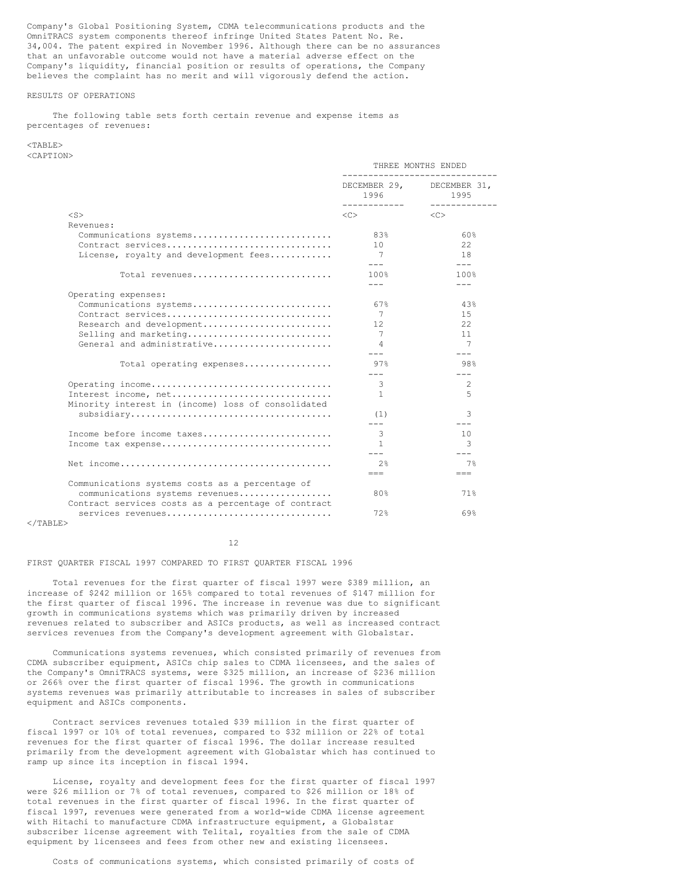Company's Global Positioning System, CDMA telecommunications products and the OmniTRACS system components thereof infringe United States Patent No. Re. 34,004. The patent expired in November 1996. Although there can be no assurances that an unfavorable outcome would not have a material adverse effect on the Company's liquidity, financial position or results of operations, the Company believes the complaint has no merit and will vigorously defend the action.

## RESULTS OF OPERATIONS

The following table sets forth certain revenue and expense items as percentages of revenues:

#### <TABLE> <CAPTION>

|                                                                                        | THREE MONTHS ENDED    |                                                    |  |
|----------------------------------------------------------------------------------------|-----------------------|----------------------------------------------------|--|
|                                                                                        | 1996<br>------------- | DECEMBER 29, DECEMBER 31,<br>1995<br>------------- |  |
| $<$ S $>$                                                                              | <<>                   | $<<$ $>$                                           |  |
| Revenues:                                                                              |                       |                                                    |  |
| Communications systems                                                                 | 83%                   | 60%                                                |  |
| Contract services                                                                      | 10 <sup>°</sup>       | 22.                                                |  |
| License, royalty and development fees                                                  | 7                     | 18                                                 |  |
|                                                                                        | $---$                 | $---$                                              |  |
| Total revenues                                                                         | 100%                  | 100%                                               |  |
|                                                                                        | $---$                 | $---$                                              |  |
| Operating expenses:                                                                    |                       |                                                    |  |
| Communications systems                                                                 | 67%                   | 43%                                                |  |
| Contract services                                                                      | 7                     | 1.5                                                |  |
| Research and development                                                               | 12.                   | 22                                                 |  |
| Selling and marketing                                                                  | 7                     | 11                                                 |  |
| General and administrative                                                             | 4<br>$---$            | 7<br>$---$                                         |  |
| Total operating expenses                                                               | 97%                   | 98%                                                |  |
|                                                                                        | $---$                 |                                                    |  |
| Operating income                                                                       | 3                     | 2                                                  |  |
| Interest income, net                                                                   | $\mathbf{1}$          | 5                                                  |  |
| Minority interest in (income) loss of consolidated                                     |                       |                                                    |  |
|                                                                                        | (1)                   | २                                                  |  |
|                                                                                        | $---$                 | $- - -$                                            |  |
| Income before income taxes                                                             | 3                     | 10                                                 |  |
| Income tax expense                                                                     | $\mathbf{1}$          | 3                                                  |  |
|                                                                                        | $- - -$               | $---$                                              |  |
|                                                                                        | 2.8                   | 7%                                                 |  |
|                                                                                        | $==$                  | $=$ $=$                                            |  |
| Communications systems costs as a percentage of                                        |                       |                                                    |  |
| communications systems revenues<br>Contract services costs as a percentage of contract | 80%                   | 71%                                                |  |
| services revenues                                                                      | 72%                   | 69%                                                |  |

## $\langle$ /TABLE>

12

#### FIRST QUARTER FISCAL 1997 COMPARED TO FIRST QUARTER FISCAL 1996

Total revenues for the first quarter of fiscal 1997 were \$389 million, an increase of \$242 million or 165% compared to total revenues of \$147 million for the first quarter of fiscal 1996. The increase in revenue was due to significant growth in communications systems which was primarily driven by increased revenues related to subscriber and ASICs products, as well as increased contract services revenues from the Company's development agreement with Globalstar.

Communications systems revenues, which consisted primarily of revenues from CDMA subscriber equipment, ASICs chip sales to CDMA licensees, and the sales of the Company's OmniTRACS systems, were \$325 million, an increase of \$236 million or 266% over the first quarter of fiscal 1996. The growth in communications systems revenues was primarily attributable to increases in sales of subscriber equipment and ASICs components.

Contract services revenues totaled \$39 million in the first quarter of fiscal 1997 or 10% of total revenues, compared to \$32 million or 22% of total revenues for the first quarter of fiscal 1996. The dollar increase resulted primarily from the development agreement with Globalstar which has continued to ramp up since its inception in fiscal 1994.

License, royalty and development fees for the first quarter of fiscal 1997 were \$26 million or 7% of total revenues, compared to \$26 million or 18% of total revenues in the first quarter of fiscal 1996. In the first quarter of fiscal 1997, revenues were generated from a world-wide CDMA license agreement with Hitachi to manufacture CDMA infrastructure equipment, a Globalstar subscriber license agreement with Telital, royalties from the sale of CDMA equipment by licensees and fees from other new and existing licensees.

Costs of communications systems, which consisted primarily of costs of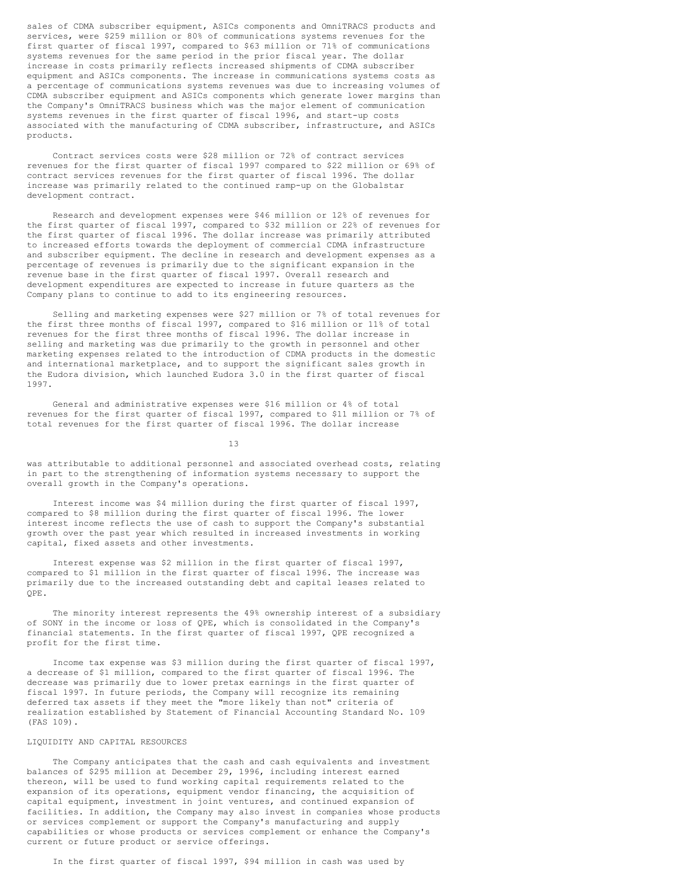sales of CDMA subscriber equipment, ASICs components and OmniTRACS products and services, were \$259 million or 80% of communications systems revenues for the first quarter of fiscal 1997, compared to \$63 million or 71% of communications systems revenues for the same period in the prior fiscal year. The dollar increase in costs primarily reflects increased shipments of CDMA subscriber equipment and ASICs components. The increase in communications systems costs as a percentage of communications systems revenues was due to increasing volumes of CDMA subscriber equipment and ASICs components which generate lower margins than the Company's OmniTRACS business which was the major element of communication systems revenues in the first quarter of fiscal 1996, and start-up costs associated with the manufacturing of CDMA subscriber, infrastructure, and ASICs products.

Contract services costs were \$28 million or 72% of contract services revenues for the first quarter of fiscal 1997 compared to \$22 million or 69% of contract services revenues for the first quarter of fiscal 1996. The dollar increase was primarily related to the continued ramp-up on the Globalstar development contract.

Research and development expenses were \$46 million or 12% of revenues for the first quarter of fiscal 1997, compared to \$32 million or 22% of revenues for the first quarter of fiscal 1996. The dollar increase was primarily attributed to increased efforts towards the deployment of commercial CDMA infrastructure and subscriber equipment. The decline in research and development expenses as a percentage of revenues is primarily due to the significant expansion in the revenue base in the first quarter of fiscal 1997. Overall research and development expenditures are expected to increase in future quarters as the Company plans to continue to add to its engineering resources.

Selling and marketing expenses were \$27 million or 7% of total revenues for the first three months of fiscal 1997, compared to \$16 million or 11% of total revenues for the first three months of fiscal 1996. The dollar increase in selling and marketing was due primarily to the growth in personnel and other marketing expenses related to the introduction of CDMA products in the domestic and international marketplace, and to support the significant sales growth in the Eudora division, which launched Eudora 3.0 in the first quarter of fiscal 1997.

General and administrative expenses were \$16 million or 4% of total revenues for the first quarter of fiscal 1997, compared to \$11 million or 7% of total revenues for the first quarter of fiscal 1996. The dollar increase

13

was attributable to additional personnel and associated overhead costs, relating in part to the strengthening of information systems necessary to support the overall growth in the Company's operations.

Interest income was \$4 million during the first quarter of fiscal 1997, compared to \$8 million during the first quarter of fiscal 1996. The lower interest income reflects the use of cash to support the Company's substantial growth over the past year which resulted in increased investments in working capital, fixed assets and other investments.

Interest expense was \$2 million in the first quarter of fiscal 1997, compared to \$1 million in the first quarter of fiscal 1996. The increase was primarily due to the increased outstanding debt and capital leases related to QPE.

The minority interest represents the 49% ownership interest of a subsidiary of SONY in the income or loss of QPE, which is consolidated in the Company's financial statements. In the first quarter of fiscal 1997, QPE recognized a profit for the first time.

Income tax expense was \$3 million during the first quarter of fiscal 1997, a decrease of \$1 million, compared to the first quarter of fiscal 1996. The decrease was primarily due to lower pretax earnings in the first quarter of fiscal 1997. In future periods, the Company will recognize its remaining deferred tax assets if they meet the "more likely than not" criteria of realization established by Statement of Financial Accounting Standard No. 109 (FAS 109).

## LIQUIDITY AND CAPITAL RESOURCES

The Company anticipates that the cash and cash equivalents and investment balances of \$295 million at December 29, 1996, including interest earned thereon, will be used to fund working capital requirements related to the expansion of its operations, equipment vendor financing, the acquisition of capital equipment, investment in joint ventures, and continued expansion of facilities. In addition, the Company may also invest in companies whose products or services complement or support the Company's manufacturing and supply capabilities or whose products or services complement or enhance the Company's current or future product or service offerings.

In the first quarter of fiscal 1997, \$94 million in cash was used by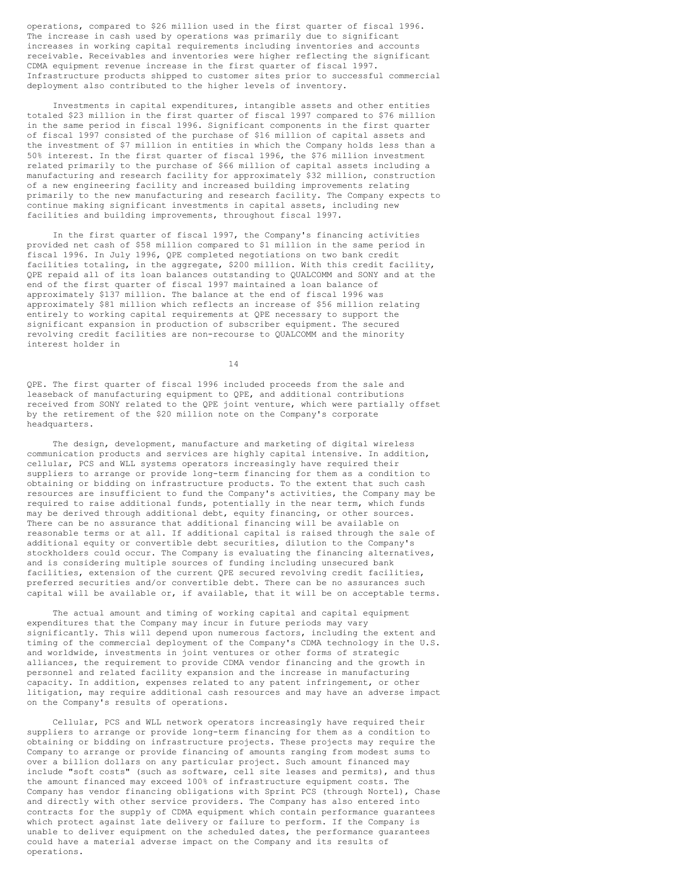operations, compared to \$26 million used in the first quarter of fiscal 1996. The increase in cash used by operations was primarily due to significant increases in working capital requirements including inventories and accounts receivable. Receivables and inventories were higher reflecting the significant CDMA equipment revenue increase in the first quarter of fiscal 1997. Infrastructure products shipped to customer sites prior to successful commercial deployment also contributed to the higher levels of inventory.

Investments in capital expenditures, intangible assets and other entities totaled \$23 million in the first quarter of fiscal 1997 compared to \$76 million in the same period in fiscal 1996. Significant components in the first quarter of fiscal 1997 consisted of the purchase of \$16 million of capital assets and the investment of \$7 million in entities in which the Company holds less than a 50% interest. In the first quarter of fiscal 1996, the \$76 million investment related primarily to the purchase of \$66 million of capital assets including a manufacturing and research facility for approximately \$32 million, construction of a new engineering facility and increased building improvements relating primarily to the new manufacturing and research facility. The Company expects to continue making significant investments in capital assets, including new facilities and building improvements, throughout fiscal 1997.

In the first quarter of fiscal 1997, the Company's financing activities provided net cash of \$58 million compared to \$1 million in the same period in fiscal 1996. In July 1996, QPE completed negotiations on two bank credit facilities totaling, in the aggregate, \$200 million. With this credit facility, QPE repaid all of its loan balances outstanding to QUALCOMM and SONY and at the end of the first quarter of fiscal 1997 maintained a loan balance of approximately \$137 million. The balance at the end of fiscal 1996 was approximately \$81 million which reflects an increase of \$56 million relating entirely to working capital requirements at QPE necessary to support the significant expansion in production of subscriber equipment. The secured revolving credit facilities are non-recourse to QUALCOMM and the minority interest holder in

14

QPE. The first quarter of fiscal 1996 included proceeds from the sale and leaseback of manufacturing equipment to QPE, and additional contributions received from SONY related to the QPE joint venture, which were partially offset by the retirement of the \$20 million note on the Company's corporate headquarters.

The design, development, manufacture and marketing of digital wireless communication products and services are highly capital intensive. In addition, cellular, PCS and WLL systems operators increasingly have required their suppliers to arrange or provide long-term financing for them as a condition to obtaining or bidding on infrastructure products. To the extent that such cash resources are insufficient to fund the Company's activities, the Company may be required to raise additional funds, potentially in the near term, which funds may be derived through additional debt, equity financing, or other sources. There can be no assurance that additional financing will be available on reasonable terms or at all. If additional capital is raised through the sale of additional equity or convertible debt securities, dilution to the Company's stockholders could occur. The Company is evaluating the financing alternatives, and is considering multiple sources of funding including unsecured bank facilities, extension of the current QPE secured revolving credit facilities, preferred securities and/or convertible debt. There can be no assurances such capital will be available or, if available, that it will be on acceptable terms.

The actual amount and timing of working capital and capital equipment expenditures that the Company may incur in future periods may vary significantly. This will depend upon numerous factors, including the extent and timing of the commercial deployment of the Company's CDMA technology in the U.S. and worldwide, investments in joint ventures or other forms of strategic alliances, the requirement to provide CDMA vendor financing and the growth in personnel and related facility expansion and the increase in manufacturing capacity. In addition, expenses related to any patent infringement, or other litigation, may require additional cash resources and may have an adverse impact on the Company's results of operations.

Cellular, PCS and WLL network operators increasingly have required their suppliers to arrange or provide long-term financing for them as a condition to obtaining or bidding on infrastructure projects. These projects may require the Company to arrange or provide financing of amounts ranging from modest sums to over a billion dollars on any particular project. Such amount financed may include "soft costs" (such as software, cell site leases and permits), and thus the amount financed may exceed 100% of infrastructure equipment costs. The Company has vendor financing obligations with Sprint PCS (through Nortel), Chase and directly with other service providers. The Company has also entered into contracts for the supply of CDMA equipment which contain performance guarantees which protect against late delivery or failure to perform. If the Company is unable to deliver equipment on the scheduled dates, the performance guarantees could have a material adverse impact on the Company and its results of operations.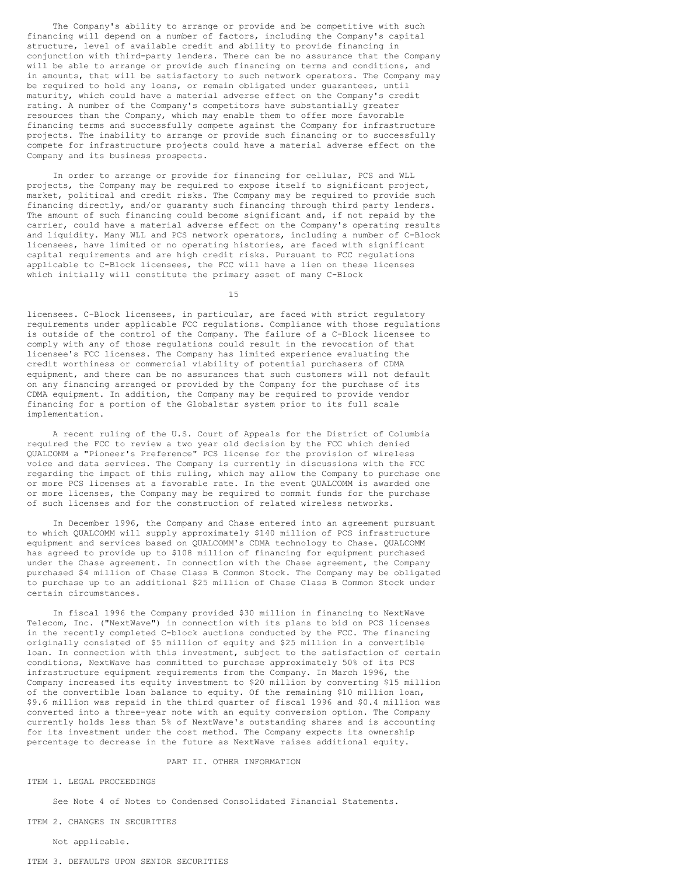The Company's ability to arrange or provide and be competitive with such financing will depend on a number of factors, including the Company's capital structure, level of available credit and ability to provide financing in conjunction with third-party lenders. There can be no assurance that the Company will be able to arrange or provide such financing on terms and conditions, and in amounts, that will be satisfactory to such network operators. The Company may be required to hold any loans, or remain obligated under guarantees, until maturity, which could have a material adverse effect on the Company's credit rating. A number of the Company's competitors have substantially greater resources than the Company, which may enable them to offer more favorable financing terms and successfully compete against the Company for infrastructure projects. The inability to arrange or provide such financing or to successfully compete for infrastructure projects could have a material adverse effect on the Company and its business prospects.

In order to arrange or provide for financing for cellular, PCS and WLL projects, the Company may be required to expose itself to significant project, market, political and credit risks. The Company may be required to provide such financing directly, and/or guaranty such financing through third party lenders. The amount of such financing could become significant and, if not repaid by the carrier, could have a material adverse effect on the Company's operating results and liquidity. Many WLL and PCS network operators, including a number of C-Block licensees, have limited or no operating histories, are faced with significant capital requirements and are high credit risks. Pursuant to FCC regulations applicable to C-Block licensees, the FCC will have a lien on these licenses which initially will constitute the primary asset of many C-Block

15

licensees. C-Block licensees, in particular, are faced with strict regulatory requirements under applicable FCC regulations. Compliance with those regulations is outside of the control of the Company. The failure of a C-Block licensee to comply with any of those regulations could result in the revocation of that licensee's FCC licenses. The Company has limited experience evaluating the credit worthiness or commercial viability of potential purchasers of CDMA equipment, and there can be no assurances that such customers will not default on any financing arranged or provided by the Company for the purchase of its CDMA equipment. In addition, the Company may be required to provide vendor financing for a portion of the Globalstar system prior to its full scale implementation.

A recent ruling of the U.S. Court of Appeals for the District of Columbia required the FCC to review a two year old decision by the FCC which denied QUALCOMM a "Pioneer's Preference" PCS license for the provision of wireless voice and data services. The Company is currently in discussions with the FCC regarding the impact of this ruling, which may allow the Company to purchase one or more PCS licenses at a favorable rate. In the event QUALCOMM is awarded one or more licenses, the Company may be required to commit funds for the purchase of such licenses and for the construction of related wireless networks.

In December 1996, the Company and Chase entered into an agreement pursuant to which QUALCOMM will supply approximately \$140 million of PCS infrastructure equipment and services based on QUALCOMM's CDMA technology to Chase. QUALCOMM has agreed to provide up to \$108 million of financing for equipment purchased under the Chase agreement. In connection with the Chase agreement, the Company purchased \$4 million of Chase Class B Common Stock. The Company may be obligated to purchase up to an additional \$25 million of Chase Class B Common Stock under certain circumstances.

In fiscal 1996 the Company provided \$30 million in financing to NextWave Telecom, Inc. ("NextWave") in connection with its plans to bid on PCS licenses in the recently completed C-block auctions conducted by the FCC. The financing originally consisted of \$5 million of equity and \$25 million in a convertible loan. In connection with this investment, subject to the satisfaction of certain conditions, NextWave has committed to purchase approximately 50% of its PCS infrastructure equipment requirements from the Company. In March 1996, the Company increased its equity investment to \$20 million by converting \$15 million of the convertible loan balance to equity. Of the remaining \$10 million loan, \$9.6 million was repaid in the third quarter of fiscal 1996 and \$0.4 million was converted into a three-year note with an equity conversion option. The Company currently holds less than 5% of NextWave's outstanding shares and is accounting for its investment under the cost method. The Company expects its ownership percentage to decrease in the future as NextWave raises additional equity.

## PART II. OTHER INFORMATION

ITEM 1. LEGAL PROCEEDINGS

See Note 4 of Notes to Condensed Consolidated Financial Statements.

ITEM 2. CHANGES IN SECURITIES

Not applicable.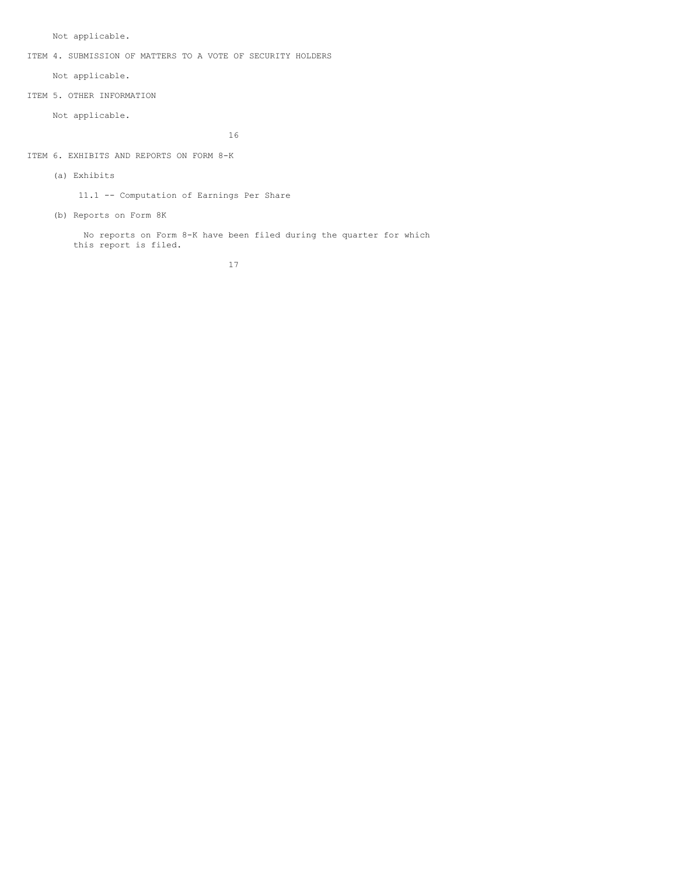Not applicable.

ITEM 4. SUBMISSION OF MATTERS TO A VOTE OF SECURITY HOLDERS

Not applicable.

ITEM 5. OTHER INFORMATION

Not applicable.

16

ITEM 6. EXHIBITS AND REPORTS ON FORM 8-K

(a) Exhibits

11.1 -- Computation of Earnings Per Share

(b) Reports on Form 8K

No reports on Form 8-K have been filed during the quarter for which this report is filed.

17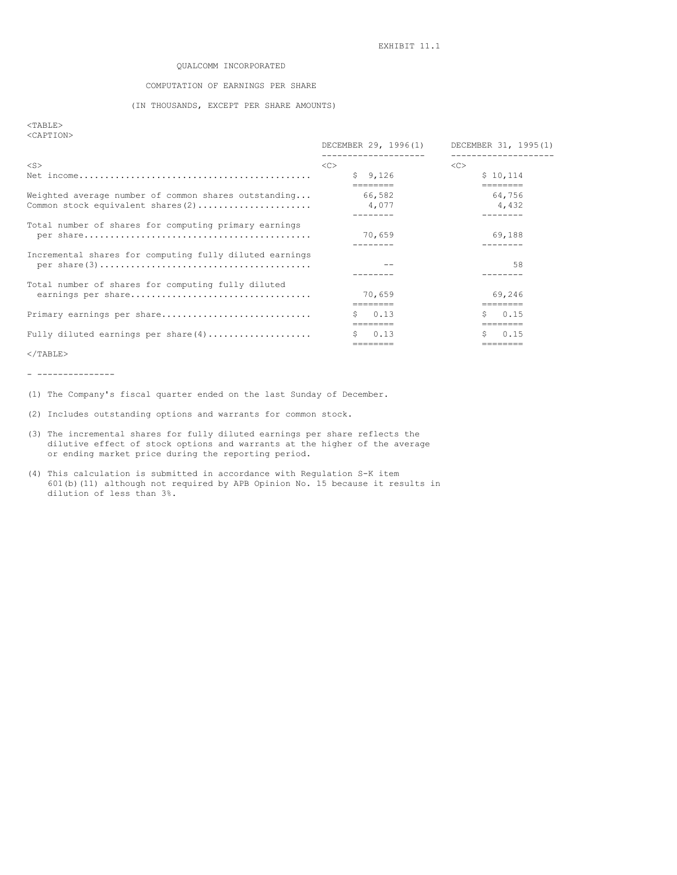## QUALCOMM INCORPORATED

# COMPUTATION OF EARNINGS PER SHARE

# (IN THOUSANDS, EXCEPT PER SHARE AMOUNTS)

## <TABLE> <CAPTION>

|                                                                                            | DECEMBER 29, 1996(1)<br>. <u>.</u> . | DECEMBER 31, 1995(1)<br>----------------- |
|--------------------------------------------------------------------------------------------|--------------------------------------|-------------------------------------------|
| $<$ S $>$                                                                                  | < <sub></sub>                        | <<                                        |
|                                                                                            | \$9,126                              | \$10.114                                  |
| Weighted average number of common shares outstanding<br>Common stock equivalent shares (2) | ========<br>66,582<br>4,077          | ========<br>64,756<br>4,432               |
| Total number of shares for computing primary earnings                                      | 70,659                               | 69,188                                    |
| Incremental shares for computing fully diluted earnings                                    |                                      | 58                                        |
| Total number of shares for computing fully diluted<br>earnings per share                   | 70,659                               | 69,246<br>========                        |
| Primary earnings per share                                                                 | 0.13<br>========                     | 0.15<br>Ŝ.<br>=======                     |
| Fully diluted earnings per share $(4)$                                                     | 0.13<br>S.                           | 0.15<br>S.                                |

 $<$ /TABLE>

- ---------------

(1) The Company's fiscal quarter ended on the last Sunday of December.

(2) Includes outstanding options and warrants for common stock.

- (3) The incremental shares for fully diluted earnings per share reflects the dilutive effect of stock options and warrants at the higher of the average or ending market price during the reporting period.
- (4) This calculation is submitted in accordance with Regulation S-K item 601(b)(11) although not required by APB Opinion No. 15 because it results in dilution of less than 3%.